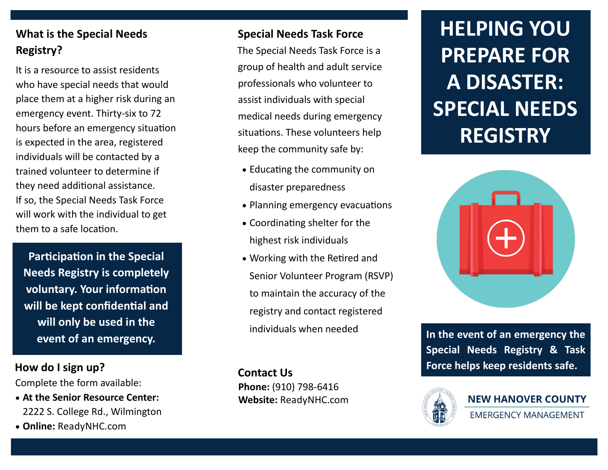## **What is the Special Needs Registry?**

It is a resource to assist residents who have special needs that would place them at a higher risk during an emergency event. Thirty-six to 72 hours before an emergency situation is expected in the area, registered individuals will be contacted by a trained volunteer to determine if they need additional assistance. If so, the Special Needs Task Force will work with the individual to get them to a safe location.

**Participation in the Special Needs Registry is completely voluntary. Your information will be kept confidential and will only be used in the event of an emergency.**

**How do I sign up?**

Complete the form available:

- **At the Senior Resource Center:** 2222 S. College Rd., Wilmington
- **Online:** ReadyNHC.com

### **Special Needs Task Force**

The Special Needs Task Force is a group of health and adult service professionals who volunteer to assist individuals with special medical needs during emergency situations. These volunteers help keep the community safe by:

- Educating the community on disaster preparedness
- Planning emergency evacuations
- Coordinating shelter for the highest risk individuals
- Working with the Retired and Senior Volunteer Program (RSVP) to maintain the accuracy of the registry and contact registered individuals when needed

**Contact Us Phone:** (910) 798-6416 **Website:** ReadyNHC.com

# **HELPING YOU PREPARE FOR A DISASTER: SPECIAL NEEDS REGISTRY**



**In the event of an emergency the Special Needs Registry & Task Force helps keep residents safe.**